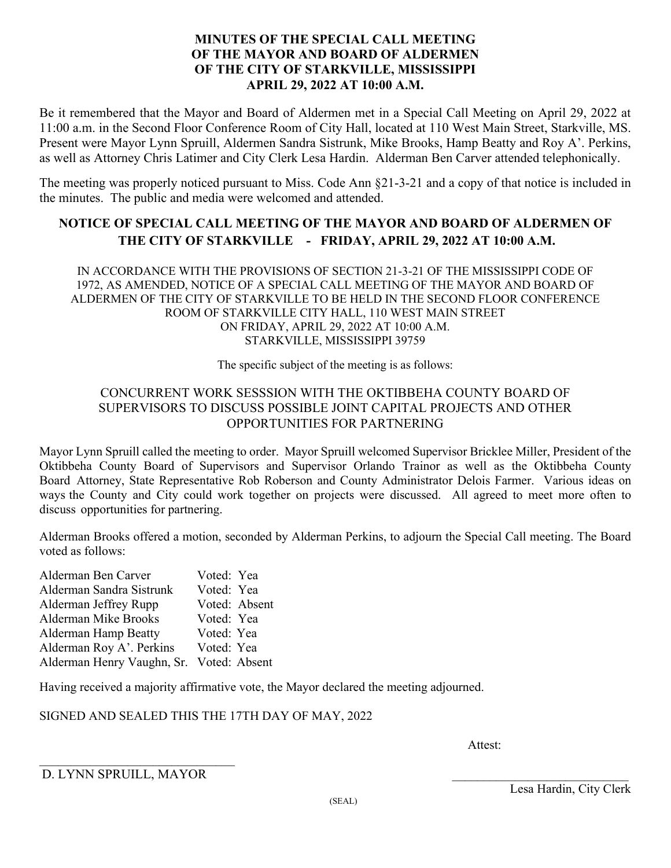### **MINUTES OF THE SPECIAL CALL MEETING OF THE MAYOR AND BOARD OF ALDERMEN OF THE CITY OF STARKVILLE, MISSISSIPPI APRIL 29, 2022 AT 10:00 A.M.**

Be it remembered that the Mayor and Board of Aldermen met in a Special Call Meeting on April 29, 2022 at 11:00 a.m. in the Second Floor Conference Room of City Hall, located at 110 West Main Street, Starkville, MS. Present were Mayor Lynn Spruill, Aldermen Sandra Sistrunk, Mike Brooks, Hamp Beatty and Roy A'. Perkins, as well as Attorney Chris Latimer and City Clerk Lesa Hardin. Alderman Ben Carver attended telephonically.

The meeting was properly noticed pursuant to Miss. Code Ann §21-3-21 and a copy of that notice is included in the minutes. The public and media were welcomed and attended.

## **NOTICE OF SPECIAL CALL MEETING OF THE MAYOR AND BOARD OF ALDERMEN OF THE CITY OF STARKVILLE - FRIDAY, APRIL 29, 2022 AT 10:00 A.M.**

IN ACCORDANCE WITH THE PROVISIONS OF SECTION 21-3-21 OF THE MISSISSIPPI CODE OF 1972, AS AMENDED, NOTICE OF A SPECIAL CALL MEETING OF THE MAYOR AND BOARD OF ALDERMEN OF THE CITY OF STARKVILLE TO BE HELD IN THE SECOND FLOOR CONFERENCE ROOM OF STARKVILLE CITY HALL, 110 WEST MAIN STREET ON FRIDAY, APRIL 29, 2022 AT 10:00 A.M. STARKVILLE, MISSISSIPPI 39759

The specific subject of the meeting is as follows:

### CONCURRENT WORK SESSSION WITH THE OKTIBBEHA COUNTY BOARD OF SUPERVISORS TO DISCUSS POSSIBLE JOINT CAPITAL PROJECTS AND OTHER OPPORTUNITIES FOR PARTNERING

Mayor Lynn Spruill called the meeting to order. Mayor Spruill welcomed Supervisor Bricklee Miller, President of the Oktibbeha County Board of Supervisors and Supervisor Orlando Trainor as well as the Oktibbeha County Board Attorney, State Representative Rob Roberson and County Administrator Delois Farmer. Various ideas on ways the County and City could work together on projects were discussed. All agreed to meet more often to discuss opportunities for partnering.

Alderman Brooks offered a motion, seconded by Alderman Perkins, to adjourn the Special Call meeting. The Board voted as follows:

| Alderman Ben Carver                      | Voted: Yea |               |
|------------------------------------------|------------|---------------|
| Alderman Sandra Sistrunk                 | Voted: Yea |               |
| Alderman Jeffrey Rupp                    |            | Voted: Absent |
| Alderman Mike Brooks                     | Voted: Yea |               |
| <b>Alderman Hamp Beatty</b>              | Voted: Yea |               |
| Alderman Roy A'. Perkins                 | Voted: Yea |               |
| Alderman Henry Vaughn, Sr. Voted: Absent |            |               |

Having received a majority affirmative vote, the Mayor declared the meeting adjourned.

SIGNED AND SEALED THIS THE 17TH DAY OF MAY, 2022

Attest:

 $\mathcal{L}_\text{max}$  , where  $\mathcal{L}_\text{max}$  and  $\mathcal{L}_\text{max}$  and  $\mathcal{L}_\text{max}$ D. LYNN SPRUILL, MAYOR

Lesa Hardin, City Clerk (SEAL)